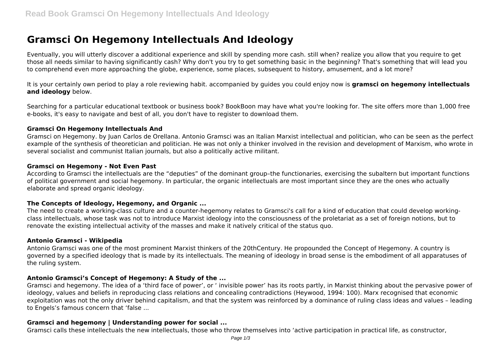# **Gramsci On Hegemony Intellectuals And Ideology**

Eventually, you will utterly discover a additional experience and skill by spending more cash. still when? realize you allow that you require to get those all needs similar to having significantly cash? Why don't you try to get something basic in the beginning? That's something that will lead you to comprehend even more approaching the globe, experience, some places, subsequent to history, amusement, and a lot more?

It is your certainly own period to play a role reviewing habit. accompanied by guides you could enjoy now is **gramsci on hegemony intellectuals and ideology** below.

Searching for a particular educational textbook or business book? BookBoon may have what you're looking for. The site offers more than 1,000 free e-books, it's easy to navigate and best of all, you don't have to register to download them.

#### **Gramsci On Hegemony Intellectuals And**

Gramsci on Hegemony. by Juan Carlos de Orellana. Antonio Gramsci was an Italian Marxist intellectual and politician, who can be seen as the perfect example of the synthesis of theoretician and politician. He was not only a thinker involved in the revision and development of Marxism, who wrote in several socialist and communist Italian journals, but also a politically active militant.

#### **Gramsci on Hegemony - Not Even Past**

According to Gramsci the intellectuals are the "deputies" of the dominant group–the functionaries, exercising the subaltern but important functions of political government and social hegemony. In particular, the organic intellectuals are most important since they are the ones who actually elaborate and spread organic ideology.

#### **The Concepts of Ideology, Hegemony, and Organic ...**

The need to create a working-class culture and a counter-hegemony relates to Gramsci's call for a kind of education that could develop workingclass intellectuals, whose task was not to introduce Marxist ideology into the consciousness of the proletariat as a set of foreign notions, but to renovate the existing intellectual activity of the masses and make it natively critical of the status quo.

#### **Antonio Gramsci - Wikipedia**

Antonio Gramsci was one of the most prominent Marxist thinkers of the 20thCentury. He propounded the Concept of Hegemony. A country is governed by a specified ideology that is made by its intellectuals. The meaning of ideology in broad sense is the embodiment of all apparatuses of the ruling system.

# **Antonio Gramsci's Concept of Hegemony: A Study of the ...**

Gramsci and hegemony. The idea of a 'third face of power', or ' invisible power' has its roots partly, in Marxist thinking about the pervasive power of ideology, values and beliefs in reproducing class relations and concealing contradictions (Heywood, 1994: 100). Marx recognised that economic exploitation was not the only driver behind capitalism, and that the system was reinforced by a dominance of ruling class ideas and values – leading to Engels's famous concern that 'false ...

#### **Gramsci and hegemony | Understanding power for social ...**

Gramsci calls these intellectuals the new intellectuals, those who throw themselves into 'active participation in practical life, as constructor,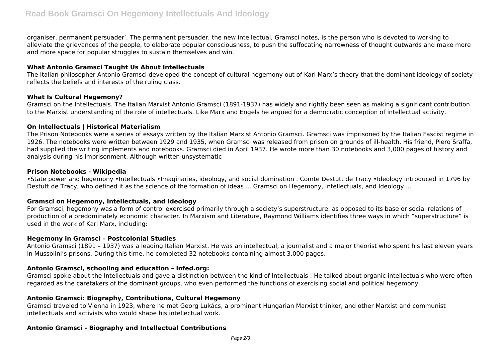organiser, permanent persuader'. The permanent persuader, the new intellectual, Gramsci notes, is the person who is devoted to working to alleviate the grievances of the people, to elaborate popular consciousness, to push the suffocating narrowness of thought outwards and make more and more space for popular struggles to sustain themselves and win.

# **What Antonio Gramsci Taught Us About Intellectuals**

The Italian philosopher Antonio Gramsci developed the concept of cultural hegemony out of Karl Marx's theory that the dominant ideology of society reflects the beliefs and interests of the ruling class.

# **What Is Cultural Hegemony?**

Gramsci on the Intellectuals. The Italian Marxist Antonio Gramsci (1891-1937) has widely and rightly been seen as making a significant contribution to the Marxist understanding of the role of intellectuals. Like Marx and Engels he argued for a democratic conception of intellectual activity.

#### **On Intellectuals | Historical Materialism**

The Prison Notebooks were a series of essays written by the Italian Marxist Antonio Gramsci. Gramsci was imprisoned by the Italian Fascist regime in 1926. The notebooks were written between 1929 and 1935, when Gramsci was released from prison on grounds of ill-health. His friend, Piero Sraffa, had supplied the writing implements and notebooks. Gramsci died in April 1937. He wrote more than 30 notebooks and 3,000 pages of history and analysis during his imprisonment. Although written unsystematic

#### **Prison Notebooks - Wikipedia**

•State power and hegemony •Intellectuals •Imaginaries, ideology, and social domination . Comte Destutt de Tracy •Ideology introduced in 1796 by Destutt de Tracy, who defined it as the science of the formation of ideas ... Gramsci on Hegemony, Intellectuals, and Ideology ...

# **Gramsci on Hegemony, Intellectuals, and Ideology**

For Gramsci, hegemony was a form of control exercised primarily through a society's superstructure, as opposed to its base or social relations of production of a predominately economic character. In Marxism and Literature, Raymond Williams identifies three ways in which "superstructure" is used in the work of Karl Marx, including:

#### **Hegemony in Gramsci – Postcolonial Studies**

Antonio Gramsci (1891 – 1937) was a leading Italian Marxist. He was an intellectual, a journalist and a major theorist who spent his last eleven years in Mussolini's prisons. During this time, he completed 32 notebooks containing almost 3,000 pages.

# **Antonio Gramsci, schooling and education – infed.org:**

Gramsci spoke about the Intellectuals and gave a distinction between the kind of Intellectuals : He talked about organic intellectuals who were often regarded as the caretakers of the dominant groups, who even performed the functions of exercising social and political hegemony.

# **Antonio Gramsci: Biography, Contributions, Cultural Hegemony**

Gramsci traveled to Vienna in 1923, where he met Georg Lukács, a prominent Hungarian Marxist thinker, and other Marxist and communist intellectuals and activists who would shape his intellectual work.

# **Antonio Gramsci - Biography and Intellectual Contributions**